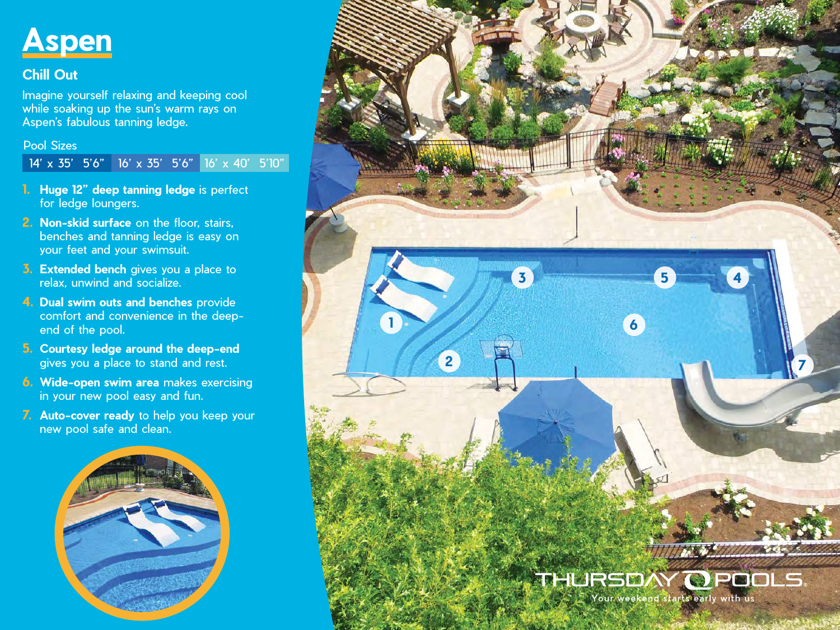

## **Chill Out**

Imagine yourself relaxing and keeping cool while soaking up the sun's warm rays on Aspen's fabulous tanning ledge.

Pool Sizes

14' x 35' 5'6" 16' x 35' 5'6" 16' x 40' 5'10"

- **1. Huge 12" deep tanning ledge** is perfect for ledge loungers.
- **2. Non-skid surface** on the floor, stairs, benches and tanning ledge is easy on your feet and your swimsuit.
- **3. Extended bench** gives you a place to relax, unwind and socialize.
- **4. Dual swim outs and benches** provide comfort and convenience in the deepend of the pool.
- **5. Courtesy ledge around the deep-end** gives you a place to stand and rest.
- **6. Wide-open swim area** makes exercising in your new pool easy and fun.
- **7. Auto-cover ready** to help you keep your new pool safe and clean.